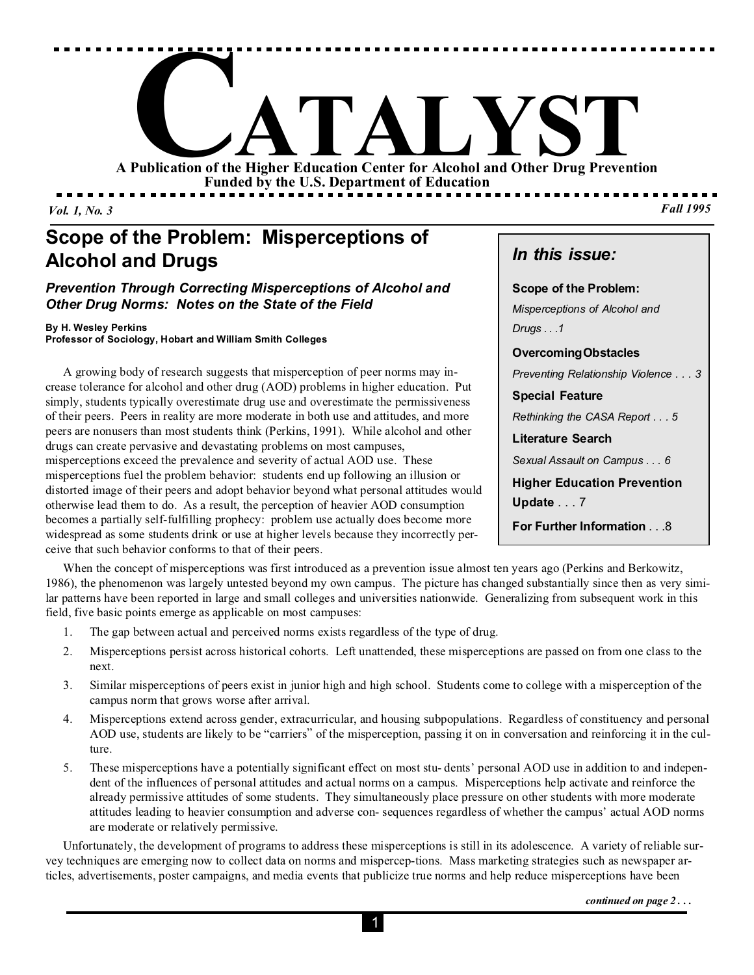

*Vol. 1, No. 3*

# **Scope of the Problem: Misperceptions of Alcohol and Drugs**

### *Prevention Through Correcting Misperceptions of Alcohol and Other Drug Norms: Notes on the State of the Field*

#### **By H. Wesley Perkins**

**Professor of Sociology, Hobart and William Smith Colleges**

A growing body of research suggests that misperception of peer norms may increase tolerance for alcohol and other drug (AOD) problems in higher education. Put simply, students typically overestimate drug use and overestimate the permissiveness of their peers. Peers in reality are more moderate in both use and attitudes, and more peers are nonusers than most students think (Perkins, 1991). While alcohol and other drugs can create pervasive and devastating problems on most campuses, misperceptions exceed the prevalence and severity of actual AOD use. These misperceptions fuel the problem behavior: students end up following an illusion or distorted image of their peers and adopt behavior beyond what personal attitudes would otherwise lead them to do. As a result, the perception of heavier AOD consumption becomes a partially self-fulfilling prophecy: problem use actually does become more widespread as some students drink or use at higher levels because they incorrectly perceive that such behavior conforms to that of their peers.

*In this issue:*

**Scope of the Problem:** *Misperceptions of Alcohol and Drugs . . .1*

**Overcoming Obstacles**

*Preventing Relationship Violence . . . 3*

**Special Feature**

*Rethinking the CASA Report . . . 5*

**Literature Search**

*Sexual Assault on Campus . . . 6*

**Higher Education Prevention Update** . . . 7

**For Further Information** . . .8

When the concept of misperceptions was first introduced as a prevention issue almost ten years ago (Perkins and Berkowitz, 1986), the phenomenon was largely untested beyond my own campus. The picture has changed substantially since then as very similar patterns have been reported in large and small colleges and universities nationwide. Generalizing from subsequent work in this field, five basic points emerge as applicable on most campuses:

- 1. The gap between actual and perceived norms exists regardless of the type of drug.
- 2. Misperceptions persist across historical cohorts. Left unattended, these misperceptions are passed on from one class to the next.
- 3. Similar misperceptions of peers exist in junior high and high school. Students come to college with a misperception of the campus norm that grows worse after arrival.
- 4. Misperceptions extend across gender, extracurricular, and housing subpopulations. Regardless of constituency and personal AOD use, students are likely to be "carriers" of the misperception, passing it on in conversation and reinforcing it in the culture.
- 5. These misperceptions have a potentially significant effect on most stu- dents' personal AOD use in addition to and independent of the influences of personal attitudes and actual norms on a campus. Misperceptions help activate and reinforce the already permissive attitudes of some students. They simultaneously place pressure on other students with more moderate attitudes leading to heavier consumption and adverse con- sequences regardless of whether the campus' actual AOD norms are moderate or relatively permissive.

Unfortunately, the development of programs to address these misperceptions is still in its adolescence. A variety of reliable survey techniques are emerging now to collect data on norms and mispercep-tions. Mass marketing strategies such as newspaper articles, advertisements, poster campaigns, and media events that publicize true norms and help reduce misperceptions have been

*continued on page 2 . . .*